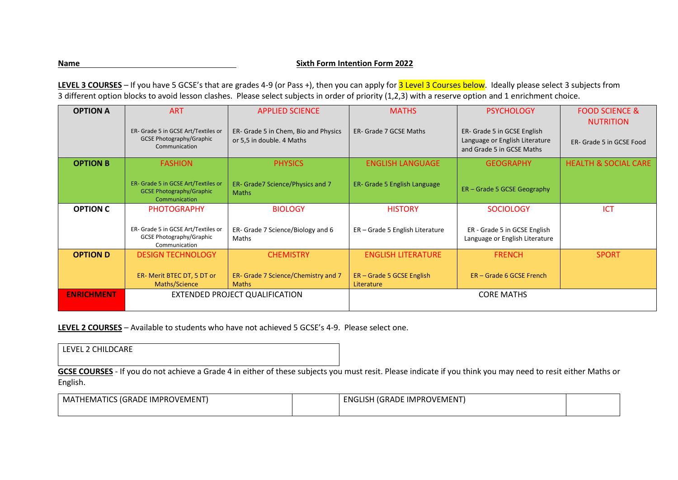## **Name Name** Sixth Form Intention Form 2022

LEVEL 3 COURSES - If you have 5 GCSE's that are grades 4-9 (or Pass +), then you can apply for 3 Level 3 Courses below. Ideally please select 3 subjects from 3 different option blocks to avoid lesson clashes. Please select subjects in order of priority (1,2,3) with a reserve option and 1 enrichment choice.

| <b>OPTION A</b>   | <b>ART</b>                                                                              | <b>APPLIED SCIENCE</b>                                            | <b>MATHS</b>                            | <b>PSYCHOLOGY</b>                                                                          | <b>FOOD SCIENCE &amp;</b><br><b>NUTRITION</b> |
|-------------------|-----------------------------------------------------------------------------------------|-------------------------------------------------------------------|-----------------------------------------|--------------------------------------------------------------------------------------------|-----------------------------------------------|
|                   | ER- Grade 5 in GCSE Art/Textiles or<br><b>GCSE Photography/Graphic</b><br>Communication | ER- Grade 5 in Chem, Bio and Physics<br>or 5,5 in double. 4 Maths | ER- Grade 7 GCSE Maths                  | ER- Grade 5 in GCSE English<br>Language or English Literature<br>and Grade 5 in GCSE Maths | ER- Grade 5 in GCSE Food                      |
| <b>OPTION B</b>   | <b>FASHION</b>                                                                          | <b>PHYSICS</b>                                                    | <b>ENGLISH LANGUAGE</b>                 | <b>GEOGRAPHY</b>                                                                           | <b>HEALTH &amp; SOCIAL CARE</b>               |
|                   | ER- Grade 5 in GCSE Art/Textiles or<br><b>GCSE Photography/Graphic</b><br>Communication | ER- Grade7 Science/Physics and 7<br><b>Maths</b>                  | <b>ER- Grade 5 English Language</b>     | ER - Grade 5 GCSE Geography                                                                |                                               |
| <b>OPTION C</b>   | <b>PHOTOGRAPHY</b>                                                                      | <b>BIOLOGY</b>                                                    | <b>HISTORY</b>                          | <b>SOCIOLOGY</b>                                                                           | <b>ICT</b>                                    |
|                   | ER- Grade 5 in GCSE Art/Textiles or<br><b>GCSE Photography/Graphic</b><br>Communication | ER- Grade 7 Science/Biology and 6<br>Maths                        | ER - Grade 5 English Literature         | ER - Grade 5 in GCSE English<br>Language or English Literature                             |                                               |
| <b>OPTION D</b>   | <b>DESIGN TECHNOLOGY</b>                                                                | <b>CHEMISTRY</b>                                                  | <b>ENGLISH LITERATURE</b>               | <b>FRENCH</b>                                                                              | <b>SPORT</b>                                  |
|                   | ER- Merit BTEC DT, 5 DT or<br>Maths/Science                                             | ER- Grade 7 Science/Chemistry and 7<br><b>Maths</b>               | ER – Grade 5 GCSE English<br>Literature | ER – Grade 6 GCSE French                                                                   |                                               |
| <b>ENRICHMENT</b> | EXTENDED PROJECT QUALIFICATION                                                          |                                                                   | <b>CORE MATHS</b>                       |                                                                                            |                                               |

**LEVEL 2 COURSES** – Available to students who have not achieved 5 GCSE's 4-9. Please select one.

| LEVEL 2 UNILDUANE                                                                                                                                             |  |
|---------------------------------------------------------------------------------------------------------------------------------------------------------------|--|
|                                                                                                                                                               |  |
| GCSE COURSES - If you do not achieve a Grade 4 in either of these subjects you must resit. Please indicate if you think you may need to resit either Maths or |  |
| English.                                                                                                                                                      |  |

| : IMPROVEMENT<br>TICS (GRADE)<br>MA1<br>'HEMAI | ' (GRADE IMPROVEMENT)<br><b>ENGLISH</b><br>71 IST. |  |
|------------------------------------------------|----------------------------------------------------|--|
|                                                |                                                    |  |

LEVEL 2 CHILDCARE